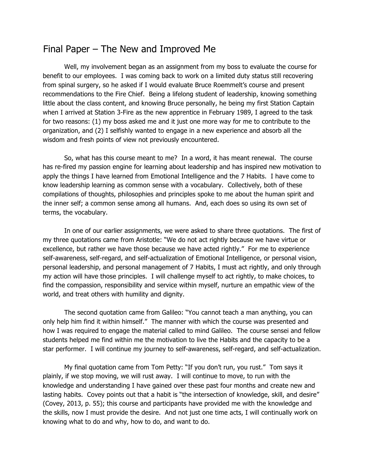# Final Paper – The New and Improved Me

Well, my involvement began as an assignment from my boss to evaluate the course for benefit to our employees. I was coming back to work on a limited duty status still recovering from spinal surgery, so he asked if I would evaluate Bruce Roemmelt's course and present recommendations to the Fire Chief. Being a lifelong student of leadership, knowing something little about the class content, and knowing Bruce personally, he being my first Station Captain when I arrived at Station 3-Fire as the new apprentice in February 1989, I agreed to the task for two reasons: (1) my boss asked me and it just one more way for me to contribute to the organization, and (2) I selfishly wanted to engage in a new experience and absorb all the wisdom and fresh points of view not previously encountered.

So, what has this course meant to me? In a word, it has meant renewal. The course has re-fired my passion engine for learning about leadership and has inspired new motivation to apply the things I have learned from Emotional Intelligence and the 7 Habits. I have come to know leadership learning as common sense with a vocabulary. Collectively, both of these compilations of thoughts, philosophies and principles spoke to me about the human spirit and the inner self; a common sense among all humans. And, each does so using its own set of terms, the vocabulary.

In one of our earlier assignments, we were asked to share three quotations. The first of my three quotations came from Aristotle: "We do not act rightly because we have virtue or excellence, but rather we have those because we have acted rightly." For me to experience self-awareness, self-regard, and self-actualization of Emotional Intelligence, or personal vision, personal leadership, and personal management of 7 Habits, I must act rightly, and only through my action will have those principles. I will challenge myself to act rightly, to make choices, to find the compassion, responsibility and service within myself, nurture an empathic view of the world, and treat others with humility and dignity.

The second quotation came from Galileo: "You cannot teach a man anything, you can only help him find it within himself." The manner with which the course was presented and how I was required to engage the material called to mind Galileo. The course sensei and fellow students helped me find within me the motivation to live the Habits and the capacity to be a star performer. I will continue my journey to self-awareness, self-regard, and self-actualization.

My final quotation came from Tom Petty: "If you don't run, you rust." Tom says it plainly, if we stop moving, we will rust away. I will continue to move, to run with the knowledge and understanding I have gained over these past four months and create new and lasting habits. Covey points out that a habit is "the intersection of knowledge, skill, and desire" (Covey, 2013, p. 55); this course and participants have provided me with the knowledge and the skills, now I must provide the desire. And not just one time acts, I will continually work on knowing what to do and why, how to do, and want to do.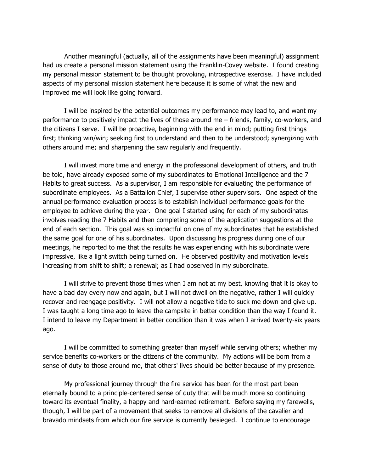Another meaningful (actually, all of the assignments have been meaningful) assignment had us create a personal mission statement using the Franklin-Covey website. I found creating my personal mission statement to be thought provoking, introspective exercise. I have included aspects of my personal mission statement here because it is some of what the new and improved me will look like going forward.

I will be inspired by the potential outcomes my performance may lead to, and want my performance to positively impact the lives of those around me – friends, family, co-workers, and the citizens I serve. I will be proactive, beginning with the end in mind; putting first things first; thinking win/win; seeking first to understand and then to be understood; synergizing with others around me; and sharpening the saw regularly and frequently.

I will invest more time and energy in the professional development of others, and truth be told, have already exposed some of my subordinates to Emotional Intelligence and the 7 Habits to great success. As a supervisor, I am responsible for evaluating the performance of subordinate employees. As a Battalion Chief, I supervise other supervisors. One aspect of the annual performance evaluation process is to establish individual performance goals for the employee to achieve during the year. One goal I started using for each of my subordinates involves reading the 7 Habits and then completing some of the application suggestions at the end of each section. This goal was so impactful on one of my subordinates that he established the same goal for one of his subordinates. Upon discussing his progress during one of our meetings, he reported to me that the results he was experiencing with his subordinate were impressive, like a light switch being turned on. He observed positivity and motivation levels increasing from shift to shift; a renewal; as I had observed in my subordinate.

I will strive to prevent those times when I am not at my best, knowing that it is okay to have a bad day every now and again, but I will not dwell on the negative, rather I will quickly recover and reengage positivity. I will not allow a negative tide to suck me down and give up. I was taught a long time ago to leave the campsite in better condition than the way I found it. I intend to leave my Department in better condition than it was when I arrived twenty-six years ago.

I will be committed to something greater than myself while serving others; whether my service benefits co-workers or the citizens of the community. My actions will be born from a sense of duty to those around me, that others' lives should be better because of my presence.

My professional journey through the fire service has been for the most part been eternally bound to a principle-centered sense of duty that will be much more so continuing toward its eventual finality, a happy and hard-earned retirement. Before saying my farewells, though, I will be part of a movement that seeks to remove all divisions of the cavalier and bravado mindsets from which our fire service is currently besieged. I continue to encourage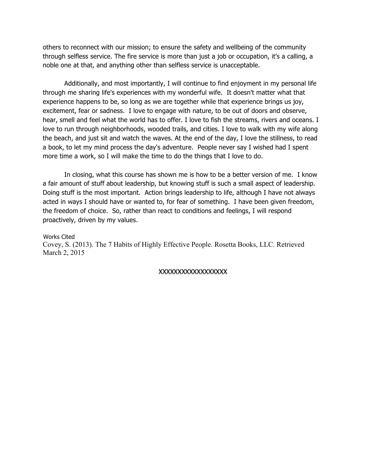others to reconnect with our mission; to ensure the safety and wellbeing of the community through selfless service. The fire service is more than just a job or occupation, it's a calling, a noble one at that, and anything other than selfless service is unacceptable.

Additionally, and most importantly, I will continue to find enjoyment in my personal life through me sharing life's experiences with my wonderful wife. It doesn't matter what that experience happens to be, so long as we are together while that experience brings us joy, excitement, fear or sadness. I love to engage with nature, to be out of doors and observe, hear, smell and feel what the world has to offer. I love to fish the streams, rivers and oceans. I love to run through neighborhoods, wooded trails, and cities. I love to walk with my wife along the beach, and just sit and watch the waves. At the end of the day, I love the stillness, to read a book, to let my mind process the day's adventure. People never say I wished had I spent more time a work, so I will make the time to do the things that I love to do.

In closing, what this course has shown me is how to be a better version of me. I know a fair amount of stuff about leadership, but knowing stuff is such a small aspect of leadership. Doing stuff is the most important. Action brings leadership to life, although I have not always acted in ways I should have or wanted to, for fear of something. I have been given freedom, the freedom of choice. So, rather than react to conditions and feelings, I will respond proactively, driven by my values.

#### Works Cited

Covey, S. (2013). The 7 Habits of Highly Effective People. Rosetta Books, LLC. Retrieved March 2, 2015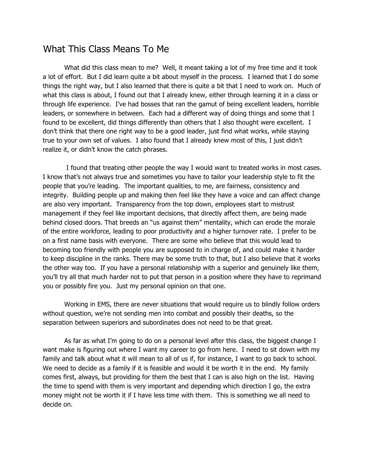# What This Class Means To Me

What did this class mean to me? Well, it meant taking a lot of my free time and it took a lot of effort. But I did learn quite a bit about myself in the process. I learned that I do some things the right way, but I also learned that there is quite a bit that I need to work on. Much of what this class is about, I found out that I already knew, either through learning it in a class or through life experience. I've had bosses that ran the gamut of being excellent leaders, horrible leaders, or somewhere in between. Each had a different way of doing things and some that I found to be excellent, did things differently than others that I also thought were excellent. I don't think that there one right way to be a good leader, just find what works, while staying true to your own set of values. I also found that I already knew most of this, I just didn't realize it, or didn't know the catch phrases.

I found that treating other people the way I would want to treated works in most cases. I know that's not always true and sometimes you have to tailor your leadership style to fit the people that you're leading. The important qualities, to me, are fairness, consistency and integrity. Building people up and making then feel like they have a voice and can affect change are also very important. Transparency from the top down, employees start to mistrust management if they feel like important decisions, that directly affect them, are being made behind closed doors. That breeds an "us against them" mentality, which can erode the morale of the entire workforce, leading to poor productivity and a higher turnover rate. I prefer to be on a first name basis with everyone. There are some who believe that this would lead to becoming too friendly with people you are supposed to in charge of, and could make it harder to keep discipline in the ranks. There may be some truth to that, but I also believe that it works the other way too. If you have a personal relationship with a superior and genuinely like them, you'll try all that much harder not to put that person in a position where they have to reprimand you or possibly fire you. Just my personal opinion on that one.

Working in EMS, there are never situations that would require us to blindly follow orders without question, we're not sending men into combat and possibly their deaths, so the separation between superiors and subordinates does not need to be that great.

As far as what I'm going to do on a personal level after this class, the biggest change I want make is figuring out where I want my career to go from here. I need to sit down with my family and talk about what it will mean to all of us if, for instance, I want to go back to school. We need to decide as a family if it is feasible and would it be worth it in the end. My family comes first, always, but providing for them the best that I can is also high on the list. Having the time to spend with them is very important and depending which direction I go, the extra money might not be worth it if I have less time with them. This is something we all need to decide on.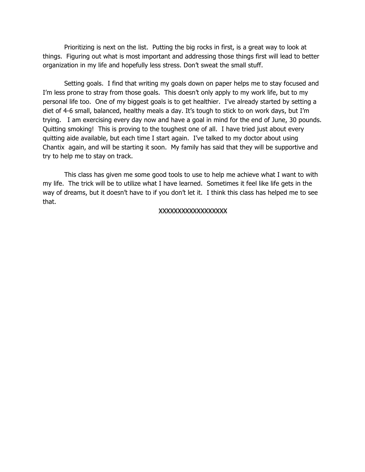Prioritizing is next on the list. Putting the big rocks in first, is a great way to look at things. Figuring out what is most important and addressing those things first will lead to better organization in my life and hopefully less stress. Don't sweat the small stuff.

Setting goals. I find that writing my goals down on paper helps me to stay focused and I'm less prone to stray from those goals. This doesn't only apply to my work life, but to my personal life too. One of my biggest goals is to get healthier. I've already started by setting a diet of 4-6 small, balanced, healthy meals a day. It's tough to stick to on work days, but I'm trying. I am exercising every day now and have a goal in mind for the end of June, 30 pounds. Quitting smoking! This is proving to the toughest one of all. I have tried just about every quitting aide available, but each time I start again. I've talked to my doctor about using Chantix again, and will be starting it soon. My family has said that they will be supportive and try to help me to stay on track.

This class has given me some good tools to use to help me achieve what I want to with my life. The trick will be to utilize what I have learned. Sometimes it feel like life gets in the way of dreams, but it doesn't have to if you don't let it. I think this class has helped me to see that.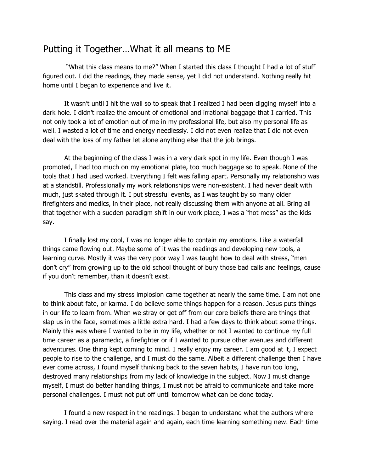# Putting it Together…What it all means to ME

"What this class means to me?" When I started this class I thought I had a lot of stuff figured out. I did the readings, they made sense, yet I did not understand. Nothing really hit home until I began to experience and live it.

It wasn't until I hit the wall so to speak that I realized I had been digging myself into a dark hole. I didn't realize the amount of emotional and irrational baggage that I carried. This not only took a lot of emotion out of me in my professional life, but also my personal life as well. I wasted a lot of time and energy needlessly. I did not even realize that I did not even deal with the loss of my father let alone anything else that the job brings.

At the beginning of the class I was in a very dark spot in my life. Even though I was promoted, I had too much on my emotional plate, too much baggage so to speak. None of the tools that I had used worked. Everything I felt was falling apart. Personally my relationship was at a standstill. Professionally my work relationships were non-existent. I had never dealt with much, just skated through it. I put stressful events, as I was taught by so many older firefighters and medics, in their place, not really discussing them with anyone at all. Bring all that together with a sudden paradigm shift in our work place, I was a "hot mess" as the kids say.

I finally lost my cool, I was no longer able to contain my emotions. Like a waterfall things came flowing out. Maybe some of it was the readings and developing new tools, a learning curve. Mostly it was the very poor way I was taught how to deal with stress, "men don't cry" from growing up to the old school thought of bury those bad calls and feelings, cause if you don't remember, than it doesn't exist.

This class and my stress implosion came together at nearly the same time. I am not one to think about fate, or karma. I do believe some things happen for a reason. Jesus puts things in our life to learn from. When we stray or get off from our core beliefs there are things that slap us in the face, sometimes a little extra hard. I had a few days to think about some things. Mainly this was where I wanted to be in my life, whether or not I wanted to continue my full time career as a paramedic, a firefighter or if I wanted to pursue other avenues and different adventures. One thing kept coming to mind. I really enjoy my career. I am good at it, I expect people to rise to the challenge, and I must do the same. Albeit a different challenge then I have ever come across, I found myself thinking back to the seven habits, I have run too long, destroyed many relationships from my lack of knowledge in the subject. Now I must change myself, I must do better handling things, I must not be afraid to communicate and take more personal challenges. I must not put off until tomorrow what can be done today.

I found a new respect in the readings. I began to understand what the authors where saying. I read over the material again and again, each time learning something new. Each time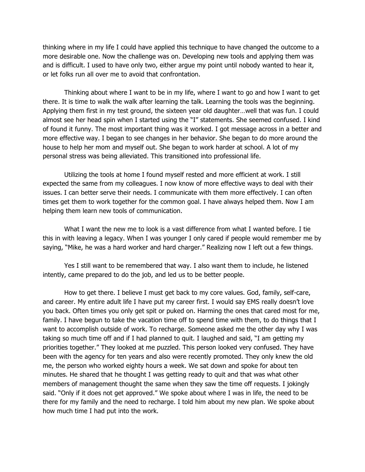thinking where in my life I could have applied this technique to have changed the outcome to a more desirable one. Now the challenge was on. Developing new tools and applying them was and is difficult. I used to have only two, either argue my point until nobody wanted to hear it, or let folks run all over me to avoid that confrontation.

Thinking about where I want to be in my life, where I want to go and how I want to get there. It is time to walk the walk after learning the talk. Learning the tools was the beginning. Applying them first in my test ground, the sixteen year old daughter…well that was fun. I could almost see her head spin when I started using the "I" statements. She seemed confused. I kind of found it funny. The most important thing was it worked. I got message across in a better and more effective way. I began to see changes in her behavior. She began to do more around the house to help her mom and myself out. She began to work harder at school. A lot of my personal stress was being alleviated. This transitioned into professional life.

Utilizing the tools at home I found myself rested and more efficient at work. I still expected the same from my colleagues. I now know of more effective ways to deal with their issues. I can better serve their needs. I communicate with them more effectively. I can often times get them to work together for the common goal. I have always helped them. Now I am helping them learn new tools of communication.

What I want the new me to look is a vast difference from what I wanted before. I tie this in with leaving a legacy. When I was younger I only cared if people would remember me by saying, "Mike, he was a hard worker and hard charger." Realizing now I left out a few things.

Yes I still want to be remembered that way. I also want them to include, he listened intently, came prepared to do the job, and led us to be better people.

How to get there. I believe I must get back to my core values. God, family, self-care, and career. My entire adult life I have put my career first. I would say EMS really doesn't love you back. Often times you only get spit or puked on. Harming the ones that cared most for me, family. I have begun to take the vacation time off to spend time with them, to do things that I want to accomplish outside of work. To recharge. Someone asked me the other day why I was taking so much time off and if I had planned to quit. I laughed and said, "I am getting my priorities together." They looked at me puzzled. This person looked very confused. They have been with the agency for ten years and also were recently promoted. They only knew the old me, the person who worked eighty hours a week. We sat down and spoke for about ten minutes. He shared that he thought I was getting ready to quit and that was what other members of management thought the same when they saw the time off requests. I jokingly said. "Only if it does not get approved." We spoke about where I was in life, the need to be there for my family and the need to recharge. I told him about my new plan. We spoke about how much time I had put into the work.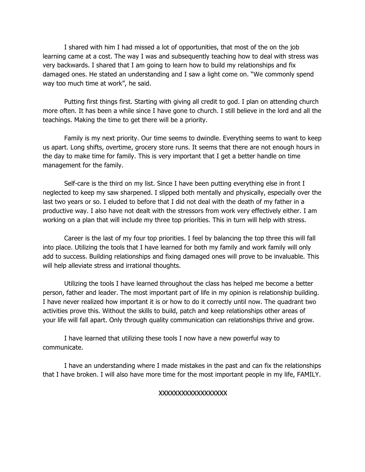I shared with him I had missed a lot of opportunities, that most of the on the job learning came at a cost. The way I was and subsequently teaching how to deal with stress was very backwards. I shared that I am going to learn how to build my relationships and fix damaged ones. He stated an understanding and I saw a light come on. "We commonly spend way too much time at work", he said.

Putting first things first. Starting with giving all credit to god. I plan on attending church more often. It has been a while since I have gone to church. I still believe in the lord and all the teachings. Making the time to get there will be a priority.

Family is my next priority. Our time seems to dwindle. Everything seems to want to keep us apart. Long shifts, overtime, grocery store runs. It seems that there are not enough hours in the day to make time for family. This is very important that I get a better handle on time management for the family.

Self-care is the third on my list. Since I have been putting everything else in front I neglected to keep my saw sharpened. I slipped both mentally and physically, especially over the last two years or so. I eluded to before that I did not deal with the death of my father in a productive way. I also have not dealt with the stressors from work very effectively either. I am working on a plan that will include my three top priorities. This in turn will help with stress.

Career is the last of my four top priorities. I feel by balancing the top three this will fall into place. Utilizing the tools that I have learned for both my family and work family will only add to success. Building relationships and fixing damaged ones will prove to be invaluable. This will help alleviate stress and irrational thoughts.

Utilizing the tools I have learned throughout the class has helped me become a better person, father and leader. The most important part of life in my opinion is relationship building. I have never realized how important it is or how to do it correctly until now. The quadrant two activities prove this. Without the skills to build, patch and keep relationships other areas of your life will fall apart. Only through quality communication can relationships thrive and grow.

I have learned that utilizing these tools I now have a new powerful way to communicate.

I have an understanding where I made mistakes in the past and can fix the relationships that I have broken. I will also have more time for the most important people in my life, FAMILY.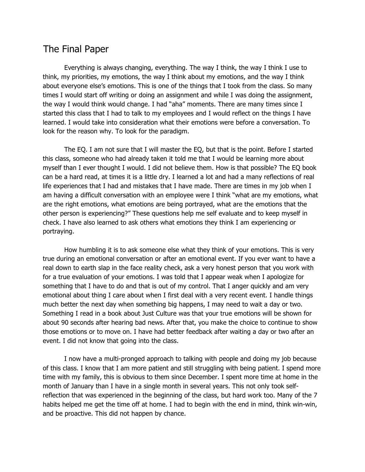# The Final Paper

Everything is always changing, everything. The way I think, the way I think I use to think, my priorities, my emotions, the way I think about my emotions, and the way I think about everyone else's emotions. This is one of the things that I took from the class. So many times I would start off writing or doing an assignment and while I was doing the assignment, the way I would think would change. I had "aha" moments. There are many times since I started this class that I had to talk to my employees and I would reflect on the things I have learned. I would take into consideration what their emotions were before a conversation. To look for the reason why. To look for the paradigm.

The EQ. I am not sure that I will master the EQ, but that is the point. Before I started this class, someone who had already taken it told me that I would be learning more about myself than I ever thought I would. I did not believe them. How is that possible? The EQ book can be a hard read, at times it is a little dry. I learned a lot and had a many reflections of real life experiences that I had and mistakes that I have made. There are times in my job when I am having a difficult conversation with an employee were I think "what are my emotions, what are the right emotions, what emotions are being portrayed, what are the emotions that the other person is experiencing?" These questions help me self evaluate and to keep myself in check. I have also learned to ask others what emotions they think I am experiencing or portraying.

How humbling it is to ask someone else what they think of your emotions. This is very true during an emotional conversation or after an emotional event. If you ever want to have a real down to earth slap in the face reality check, ask a very honest person that you work with for a true evaluation of your emotions. I was told that I appear weak when I apologize for something that I have to do and that is out of my control. That I anger quickly and am very emotional about thing I care about when I first deal with a very recent event. I handle things much better the next day when something big happens, I may need to wait a day or two. Something I read in a book about Just Culture was that your true emotions will be shown for about 90 seconds after hearing bad news. After that, you make the choice to continue to show those emotions or to move on. I have had better feedback after waiting a day or two after an event. I did not know that going into the class.

I now have a multi-pronged approach to talking with people and doing my job because of this class. I know that I am more patient and still struggling with being patient. I spend more time with my family, this is obvious to them since December. I spent more time at home in the month of January than I have in a single month in several years. This not only took selfreflection that was experienced in the beginning of the class, but hard work too. Many of the 7 habits helped me get the time off at home. I had to begin with the end in mind, think win-win, and be proactive. This did not happen by chance.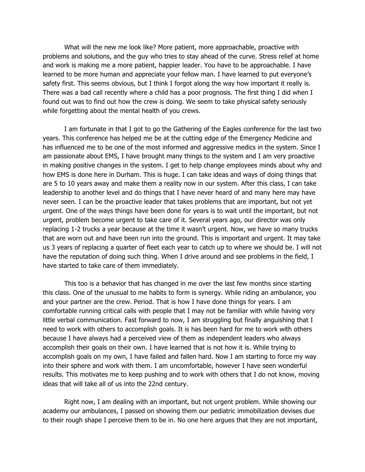What will the new me look like? More patient, more approachable, proactive with problems and solutions, and the guy who tries to stay ahead of the curve. Stress relief at home and work is making me a more patient, happier leader. You have to be approachable. I have learned to be more human and appreciate your fellow man. I have learned to put everyone's safety first. This seems obvious, but I think I forgot along the way how important it really is. There was a bad call recently where a child has a poor prognosis. The first thing I did when I found out was to find out how the crew is doing. We seem to take physical safety seriously while forgetting about the mental health of you crews.

I am fortunate in that I got to go the Gathering of the Eagles conference for the last two years. This conference has helped me be at the cutting edge of the Emergency Medicine and has influenced me to be one of the most informed and aggressive medics in the system. Since I am passionate about EMS, I have brought many things to the system and I am very proactive in making positive changes in the system. I get to help change employees minds about why and how EMS is done here in Durham. This is huge. I can take ideas and ways of doing things that are 5 to 10 years away and make them a reality now in our system. After this class, I can take leadership to another level and do things that I have never heard of and many here may have never seen. I can be the proactive leader that takes problems that are important, but not yet urgent. One of the ways things have been done for years is to wait until the important, but not urgent, problem become urgent to take care of it. Several years ago, our director was only replacing 1-2 trucks a year because at the time it wasn't urgent. Now, we have so many trucks that are worn out and have been run into the ground. This is important and urgent. It may take us 3 years of replacing a quarter of fleet each year to catch up to where we should be. I will not have the reputation of doing such thing. When I drive around and see problems in the field, I have started to take care of them immediately.

This too is a behavior that has changed in me over the last few months since starting this class. One of the unusual to me habits to form is synergy. While riding an ambulance, you and your partner are the crew. Period. That is how I have done things for years. I am comfortable running critical calls with people that I may not be familiar with while having very little verbal communication. Fast forward to now, I am struggling but finally anguishing that I need to work with others to accomplish goals. It is has been hard for me to work with others because I have always had a perceived view of them as independent leaders who always accomplish their goals on their own. I have learned that is not how it is. While trying to accomplish goals on my own, I have failed and fallen hard. Now I am starting to force my way into their sphere and work with them. I am uncomfortable, however I have seen wonderful results. This motivates me to keep pushing and to work with others that I do not know, moving ideas that will take all of us into the 22nd century.

Right now, I am dealing with an important, but not urgent problem. While showing our academy our ambulances, I passed on showing them our pediatric immobilization devises due to their rough shape I perceive them to be in. No one here argues that they are not important,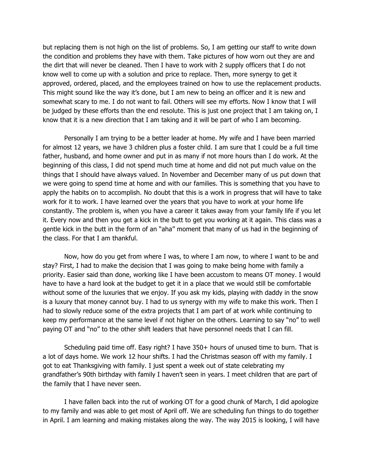but replacing them is not high on the list of problems. So, I am getting our staff to write down the condition and problems they have with them. Take pictures of how worn out they are and the dirt that will never be cleaned. Then I have to work with 2 supply officers that I do not know well to come up with a solution and price to replace. Then, more synergy to get it approved, ordered, placed, and the employees trained on how to use the replacement products. This might sound like the way it's done, but I am new to being an officer and it is new and somewhat scary to me. I do not want to fail. Others will see my efforts. Now I know that I will be judged by these efforts than the end resolute. This is just one project that I am taking on, I know that it is a new direction that I am taking and it will be part of who I am becoming.

Personally I am trying to be a better leader at home. My wife and I have been married for almost 12 years, we have 3 children plus a foster child. I am sure that I could be a full time father, husband, and home owner and put in as many if not more hours than I do work. At the beginning of this class, I did not spend much time at home and did not put much value on the things that I should have always valued. In November and December many of us put down that we were going to spend time at home and with our families. This is something that you have to apply the habits on to accomplish. No doubt that this is a work in progress that will have to take work for it to work. I have learned over the years that you have to work at your home life constantly. The problem is, when you have a career it takes away from your family life if you let it. Every now and then you get a kick in the butt to get you working at it again. This class was a gentle kick in the butt in the form of an "aha" moment that many of us had in the beginning of the class. For that I am thankful.

Now, how do you get from where I was, to where I am now, to where I want to be and stay? First, I had to make the decision that I was going to make being home with family a priority. Easier said than done, working like I have been accustom to means OT money. I would have to have a hard look at the budget to get it in a place that we would still be comfortable without some of the luxuries that we enjoy. If you ask my kids, playing with daddy in the snow is a luxury that money cannot buy. I had to us synergy with my wife to make this work. Then I had to slowly reduce some of the extra projects that I am part of at work while continuing to keep my performance at the same level if not higher on the others. Learning to say "no" to well paying OT and "no" to the other shift leaders that have personnel needs that I can fill.

Scheduling paid time off. Easy right? I have 350+ hours of unused time to burn. That is a lot of days home. We work 12 hour shifts. I had the Christmas season off with my family. I got to eat Thanksgiving with family. I just spent a week out of state celebrating my grandfather's 90th birthday with family I haven't seen in years. I meet children that are part of the family that I have never seen.

I have fallen back into the rut of working OT for a good chunk of March, I did apologize to my family and was able to get most of April off. We are scheduling fun things to do together in April. I am learning and making mistakes along the way. The way 2015 is looking, I will have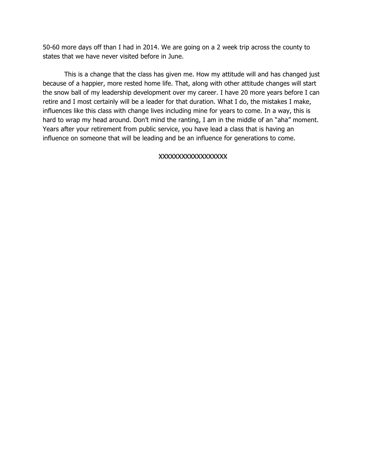50-60 more days off than I had in 2014. We are going on a 2 week trip across the county to states that we have never visited before in June.

This is a change that the class has given me. How my attitude will and has changed just because of a happier, more rested home life. That, along with other attitude changes will start the snow ball of my leadership development over my career. I have 20 more years before I can retire and I most certainly will be a leader for that duration. What I do, the mistakes I make, influences like this class with change lives including mine for years to come. In a way, this is hard to wrap my head around. Don't mind the ranting, I am in the middle of an "aha" moment. Years after your retirement from public service, you have lead a class that is having an influence on someone that will be leading and be an influence for generations to come.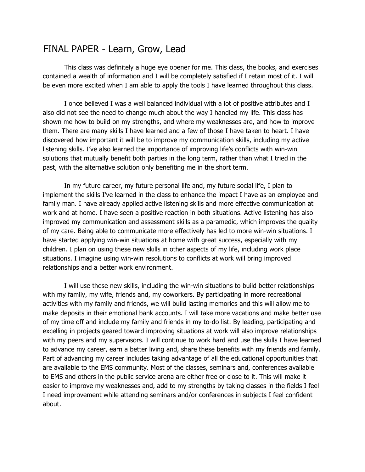# FINAL PAPER - Learn, Grow, Lead

This class was definitely a huge eye opener for me. This class, the books, and exercises contained a wealth of information and I will be completely satisfied if I retain most of it. I will be even more excited when I am able to apply the tools I have learned throughout this class.

I once believed I was a well balanced individual with a lot of positive attributes and I also did not see the need to change much about the way I handled my life. This class has shown me how to build on my strengths, and where my weaknesses are, and how to improve them. There are many skills I have learned and a few of those I have taken to heart. I have discovered how important it will be to improve my communication skills, including my active listening skills. I've also learned the importance of improving life's conflicts with win-win solutions that mutually benefit both parties in the long term, rather than what I tried in the past, with the alternative solution only benefiting me in the short term.

In my future career, my future personal life and, my future social life, I plan to implement the skills I've learned in the class to enhance the impact I have as an employee and family man. I have already applied active listening skills and more effective communication at work and at home. I have seen a positive reaction in both situations. Active listening has also improved my communication and assessment skills as a paramedic, which improves the quality of my care. Being able to communicate more effectively has led to more win-win situations. I have started applying win-win situations at home with great success, especially with my children. I plan on using these new skills in other aspects of my life, including work place situations. I imagine using win-win resolutions to conflicts at work will bring improved relationships and a better work environment.

I will use these new skills, including the win-win situations to build better relationships with my family, my wife, friends and, my coworkers. By participating in more recreational activities with my family and friends, we will build lasting memories and this will allow me to make deposits in their emotional bank accounts. I will take more vacations and make better use of my time off and include my family and friends in my to-do list. By leading, participating and excelling in projects geared toward improving situations at work will also improve relationships with my peers and my supervisors. I will continue to work hard and use the skills I have learned to advance my career, earn a better living and, share these benefits with my friends and family. Part of advancing my career includes taking advantage of all the educational opportunities that are available to the EMS community. Most of the classes, seminars and, conferences available to EMS and others in the public service arena are either free or close to it. This will make it easier to improve my weaknesses and, add to my strengths by taking classes in the fields I feel I need improvement while attending seminars and/or conferences in subjects I feel confident about.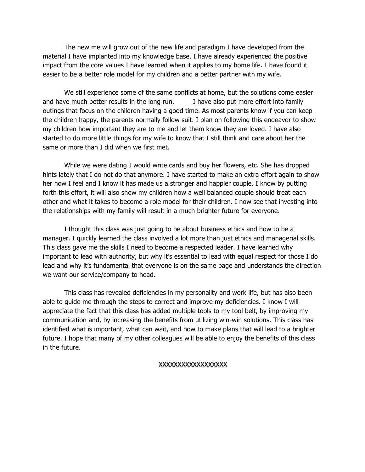The new me will grow out of the new life and paradigm I have developed from the material I have implanted into my knowledge base. I have already experienced the positive impact from the core values I have learned when it applies to my home life. I have found it easier to be a better role model for my children and a better partner with my wife.

We still experience some of the same conflicts at home, but the solutions come easier and have much better results in the long run. I have also put more effort into family outings that focus on the children having a good time. As most parents know if you can keep the children happy, the parents normally follow suit. I plan on following this endeavor to show my children how important they are to me and let them know they are loved. I have also started to do more little things for my wife to know that I still think and care about her the same or more than I did when we first met.

While we were dating I would write cards and buy her flowers, etc. She has dropped hints lately that I do not do that anymore. I have started to make an extra effort again to show her how I feel and I know it has made us a stronger and happier couple. I know by putting forth this effort, it will also show my children how a well balanced couple should treat each other and what it takes to become a role model for their children. I now see that investing into the relationships with my family will result in a much brighter future for everyone.

I thought this class was just going to be about business ethics and how to be a manager. I quickly learned the class involved a lot more than just ethics and managerial skills. This class gave me the skills I need to become a respected leader. I have learned why important to lead with authority, but why it's essential to lead with equal respect for those I do lead and why it's fundamental that everyone is on the same page and understands the direction we want our service/company to head.

This class has revealed deficiencies in my personality and work life, but has also been able to guide me through the steps to correct and improve my deficiencies. I know I will appreciate the fact that this class has added multiple tools to my tool belt, by improving my communication and, by increasing the benefits from utilizing win-win solutions. This class has identified what is important, what can wait, and how to make plans that will lead to a brighter future. I hope that many of my other colleagues will be able to enjoy the benefits of this class in the future.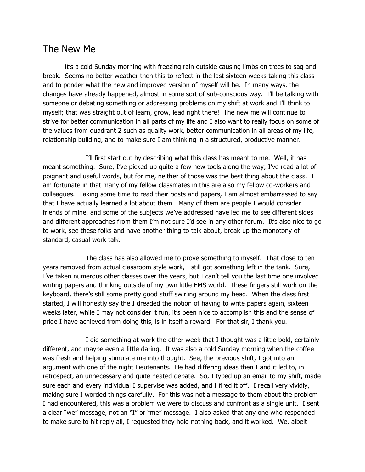# The New Me

It's a cold Sunday morning with freezing rain outside causing limbs on trees to sag and break. Seems no better weather then this to reflect in the last sixteen weeks taking this class and to ponder what the new and improved version of myself will be. In many ways, the changes have already happened, almost in some sort of sub-conscious way. I'll be talking with someone or debating something or addressing problems on my shift at work and I'll think to myself; that was straight out of learn, grow, lead right there! The new me will continue to strive for better communication in all parts of my life and I also want to really focus on some of the values from quadrant 2 such as quality work, better communication in all areas of my life, relationship building, and to make sure I am thinking in a structured, productive manner.

I'll first start out by describing what this class has meant to me. Well, it has meant something. Sure, I've picked up quite a few new tools along the way; I've read a lot of poignant and useful words, but for me, neither of those was the best thing about the class. I am fortunate in that many of my fellow classmates in this are also my fellow co-workers and colleagues. Taking some time to read their posts and papers, I am almost embarrassed to say that I have actually learned a lot about them. Many of them are people I would consider friends of mine, and some of the subjects we've addressed have led me to see different sides and different approaches from them I'm not sure I'd see in any other forum. It's also nice to go to work, see these folks and have another thing to talk about, break up the monotony of standard, casual work talk.

The class has also allowed me to prove something to myself. That close to ten years removed from actual classroom style work, I still got something left in the tank. Sure, I've taken numerous other classes over the years, but I can't tell you the last time one involved writing papers and thinking outside of my own little EMS world. These fingers still work on the keyboard, there's still some pretty good stuff swirling around my head. When the class first started, I will honestly say the I dreaded the notion of having to write papers again, sixteen weeks later, while I may not consider it fun, it's been nice to accomplish this and the sense of pride I have achieved from doing this, is in itself a reward. For that sir, I thank you.

I did something at work the other week that I thought was a little bold, certainly different, and maybe even a little daring. It was also a cold Sunday morning when the coffee was fresh and helping stimulate me into thought. See, the previous shift, I got into an argument with one of the night Lieutenants. He had differing ideas then I and it led to, in retrospect, an unnecessary and quite heated debate. So, I typed up an email to my shift, made sure each and every individual I supervise was added, and I fired it off. I recall very vividly, making sure I worded things carefully. For this was not a message to them about the problem I had encountered, this was a problem we were to discuss and confront as a single unit. I sent a clear "we" message, not an "I" or "me" message. I also asked that any one who responded to make sure to hit reply all, I requested they hold nothing back, and it worked. We, albeit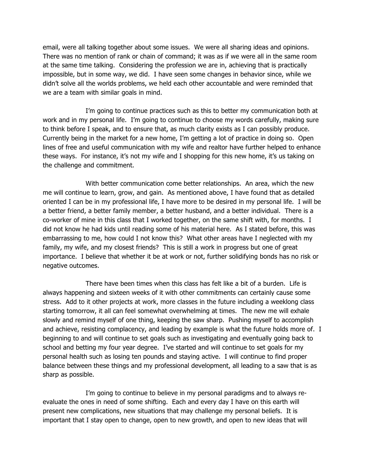email, were all talking together about some issues. We were all sharing ideas and opinions. There was no mention of rank or chain of command; it was as if we were all in the same room at the same time talking. Considering the profession we are in, achieving that is practically impossible, but in some way, we did. I have seen some changes in behavior since, while we didn't solve all the worlds problems, we held each other accountable and were reminded that we are a team with similar goals in mind.

I'm going to continue practices such as this to better my communication both at work and in my personal life. I'm going to continue to choose my words carefully, making sure to think before I speak, and to ensure that, as much clarity exists as I can possibly produce. Currently being in the market for a new home, I'm getting a lot of practice in doing so. Open lines of free and useful communication with my wife and realtor have further helped to enhance these ways. For instance, it's not my wife and I shopping for this new home, it's us taking on the challenge and commitment.

With better communication come better relationships. An area, which the new me will continue to learn, grow, and gain. As mentioned above, I have found that as detailed oriented I can be in my professional life, I have more to be desired in my personal life. I will be a better friend, a better family member, a better husband, and a better individual. There is a co-worker of mine in this class that I worked together, on the same shift with, for months. I did not know he had kids until reading some of his material here. As I stated before, this was embarrassing to me, how could I not know this? What other areas have I neglected with my family, my wife, and my closest friends? This is still a work in progress but one of great importance. I believe that whether it be at work or not, further solidifying bonds has no risk or negative outcomes.

There have been times when this class has felt like a bit of a burden. Life is always happening and sixteen weeks of it with other commitments can certainly cause some stress. Add to it other projects at work, more classes in the future including a weeklong class starting tomorrow, it all can feel somewhat overwhelming at times. The new me will exhale slowly and remind myself of one thing, keeping the saw sharp. Pushing myself to accomplish and achieve, resisting complacency, and leading by example is what the future holds more of. I beginning to and will continue to set goals such as investigating and eventually going back to school and betting my four year degree. I've started and will continue to set goals for my personal health such as losing ten pounds and staying active. I will continue to find proper balance between these things and my professional development, all leading to a saw that is as sharp as possible.

I'm going to continue to believe in my personal paradigms and to always reevaluate the ones in need of some shifting. Each and every day I have on this earth will present new complications, new situations that may challenge my personal beliefs. It is important that I stay open to change, open to new growth, and open to new ideas that will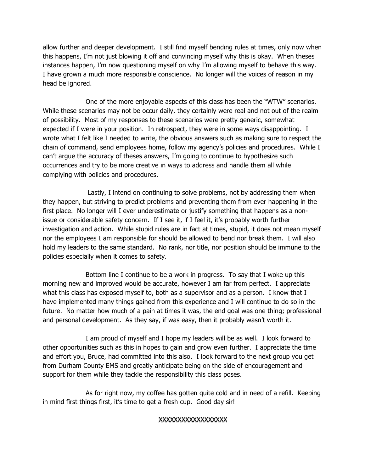allow further and deeper development. I still find myself bending rules at times, only now when this happens, I'm not just blowing it off and convincing myself why this is okay. When theses instances happen, I'm now questioning myself on why I'm allowing myself to behave this way. I have grown a much more responsible conscience. No longer will the voices of reason in my head be ignored.

One of the more enjoyable aspects of this class has been the "WTW" scenarios. While these scenarios may not be occur daily, they certainly were real and not out of the realm of possibility. Most of my responses to these scenarios were pretty generic, somewhat expected if I were in your position. In retrospect, they were in some ways disappointing. I wrote what I felt like I needed to write, the obvious answers such as making sure to respect the chain of command, send employees home, follow my agency's policies and procedures. While I can't argue the accuracy of theses answers, I'm going to continue to hypothesize such occurrences and try to be more creative in ways to address and handle them all while complying with policies and procedures.

Lastly, I intend on continuing to solve problems, not by addressing them when they happen, but striving to predict problems and preventing them from ever happening in the first place. No longer will I ever underestimate or justify something that happens as a nonissue or considerable safety concern. If I see it, if I feel it, it's probably worth further investigation and action. While stupid rules are in fact at times, stupid, it does not mean myself nor the employees I am responsible for should be allowed to bend nor break them. I will also hold my leaders to the same standard. No rank, nor title, nor position should be immune to the policies especially when it comes to safety.

Bottom line I continue to be a work in progress. To say that I woke up this morning new and improved would be accurate, however I am far from perfect. I appreciate what this class has exposed myself to, both as a supervisor and as a person. I know that I have implemented many things gained from this experience and I will continue to do so in the future. No matter how much of a pain at times it was, the end goal was one thing; professional and personal development. As they say, if was easy, then it probably wasn't worth it.

I am proud of myself and I hope my leaders will be as well. I look forward to other opportunities such as this in hopes to gain and grow even further. I appreciate the time and effort you, Bruce, had committed into this also. I look forward to the next group you get from Durham County EMS and greatly anticipate being on the side of encouragement and support for them while they tackle the responsibility this class poses.

As for right now, my coffee has gotten quite cold and in need of a refill. Keeping in mind first things first, it's time to get a fresh cup. Good day sir!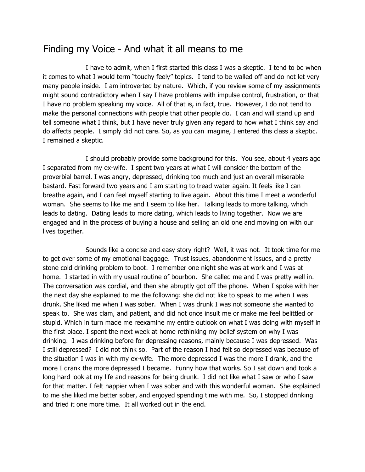# Finding my Voice - And what it all means to me

I have to admit, when I first started this class I was a skeptic. I tend to be when it comes to what I would term "touchy feely" topics. I tend to be walled off and do not let very many people inside. I am introverted by nature. Which, if you review some of my assignments might sound contradictory when I say I have problems with impulse control, frustration, or that I have no problem speaking my voice. All of that is, in fact, true. However, I do not tend to make the personal connections with people that other people do. I can and will stand up and tell someone what I think, but I have never truly given any regard to how what I think say and do affects people. I simply did not care. So, as you can imagine, I entered this class a skeptic. I remained a skeptic.

I should probably provide some background for this. You see, about 4 years ago I separated from my ex-wife. I spent two years at what I will consider the bottom of the proverbial barrel. I was angry, depressed, drinking too much and just an overall miserable bastard. Fast forward two years and I am starting to tread water again. It feels like I can breathe again, and I can feel myself starting to live again. About this time I meet a wonderful woman. She seems to like me and I seem to like her. Talking leads to more talking, which leads to dating. Dating leads to more dating, which leads to living together. Now we are engaged and in the process of buying a house and selling an old one and moving on with our lives together.

Sounds like a concise and easy story right? Well, it was not. It took time for me to get over some of my emotional baggage. Trust issues, abandonment issues, and a pretty stone cold drinking problem to boot. I remember one night she was at work and I was at home. I started in with my usual routine of bourbon. She called me and I was pretty well in. The conversation was cordial, and then she abruptly got off the phone. When I spoke with her the next day she explained to me the following: she did not like to speak to me when I was drunk. She liked me when I was sober. When I was drunk I was not someone she wanted to speak to. She was clam, and patient, and did not once insult me or make me feel belittled or stupid. Which in turn made me reexamine my entire outlook on what I was doing with myself in the first place. I spent the next week at home rethinking my belief system on why I was drinking. I was drinking before for depressing reasons, mainly because I was depressed. Was I still depressed? I did not think so. Part of the reason I had felt so depressed was because of the situation I was in with my ex-wife. The more depressed I was the more I drank, and the more I drank the more depressed I became. Funny how that works. So I sat down and took a long hard look at my life and reasons for being drunk. I did not like what I saw or who I saw for that matter. I felt happier when I was sober and with this wonderful woman. She explained to me she liked me better sober, and enjoyed spending time with me. So, I stopped drinking and tried it one more time. It all worked out in the end.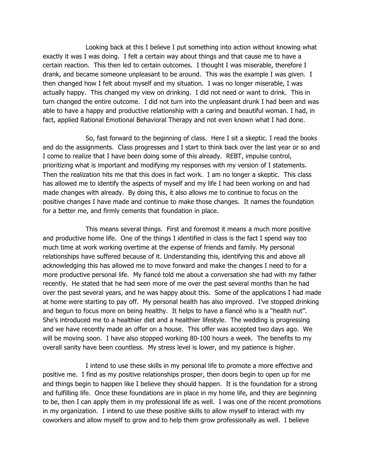Looking back at this I believe I put something into action without knowing what exactly it was I was doing. I felt a certain way about things and that cause me to have a certain reaction. This then led to certain outcomes. I thought I was miserable, therefore I drank, and became someone unpleasant to be around. This was the example I was given. I then changed how I felt about myself and my situation. I was no longer miserable, I was actually happy. This changed my view on drinking. I did not need or want to drink. This in turn changed the entire outcome. I did not turn into the unpleasant drunk I had been and was able to have a happy and productive relationship with a caring and beautiful woman. I had, in fact, applied Rational Emotional Behavioral Therapy and not even known what I had done.

So, fast forward to the beginning of class. Here I sit a skeptic. I read the books and do the assignments. Class progresses and I start to think back over the last year or so and I come to realize that I have been doing some of this already. REBT, impulse control, prioritizing what is important and modifying my responses with my version of I statements. Then the realization hits me that this does in fact work. I am no longer a skeptic. This class has allowed me to identify the aspects of myself and my life I had been working on and had made changes with already. By doing this, it also allows me to continue to focus on the positive changes I have made and continue to make those changes. It names the foundation for a better me, and firmly cements that foundation in place.

This means several things. First and foremost it means a much more positive and productive home life. One of the things I identified in class is the fact I spend way too much time at work working overtime at the expense of friends and family. My personal relationships have suffered because of it. Understanding this, identifying this and above all acknowledging this has allowed me to move forward and make the changes I need to for a more productive personal life. My fiancé told me about a conversation she had with my father recently. He stated that he had seen more of me over the past several months than he had over the past several years, and he was happy about this. Some of the applications I had made at home were starting to pay off. My personal health has also improved. I've stopped drinking and begun to focus more on being healthy. It helps to have a fiancé who is a "health nut". She's introduced me to a healthier diet and a healthier lifestyle. The wedding is progressing and we have recently made an offer on a house. This offer was accepted two days ago. We will be moving soon. I have also stopped working 80-100 hours a week. The benefits to my overall sanity have been countless. My stress level is lower, and my patience is higher.

I intend to use these skills in my personal life to promote a more effective and positive me. I find as my positive relationships prosper, then doors begin to open up for me and things begin to happen like I believe they should happen. It is the foundation for a strong and fulfilling life. Once these foundations are in place in my home life, and they are beginning to be, then I can apply them in my professional life as well. I was one of the recent promotions in my organization. I intend to use these positive skills to allow myself to interact with my coworkers and allow myself to grow and to help them grow professionally as well. I believe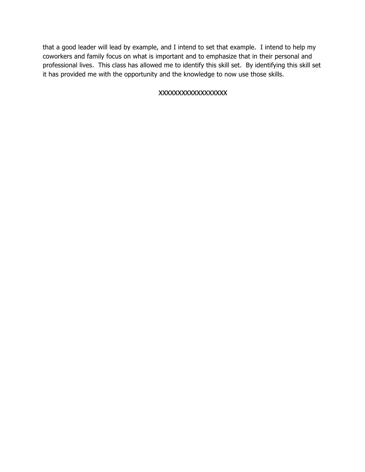that a good leader will lead by example, and I intend to set that example. I intend to help my coworkers and family focus on what is important and to emphasize that in their personal and professional lives. This class has allowed me to identify this skill set. By identifying this skill set it has provided me with the opportunity and the knowledge to now use those skills.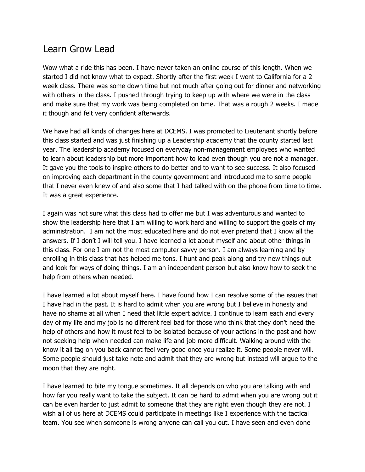# Learn Grow Lead

Wow what a ride this has been. I have never taken an online course of this length. When we started I did not know what to expect. Shortly after the first week I went to California for a 2 week class. There was some down time but not much after going out for dinner and networking with others in the class. I pushed through trying to keep up with where we were in the class and make sure that my work was being completed on time. That was a rough 2 weeks. I made it though and felt very confident afterwards.

We have had all kinds of changes here at DCEMS. I was promoted to Lieutenant shortly before this class started and was just finishing up a Leadership academy that the county started last year. The leadership academy focused on everyday non-management employees who wanted to learn about leadership but more important how to lead even though you are not a manager. It gave you the tools to inspire others to do better and to want to see success. It also focused on improving each department in the county government and introduced me to some people that I never even knew of and also some that I had talked with on the phone from time to time. It was a great experience.

I again was not sure what this class had to offer me but I was adventurous and wanted to show the leadership here that I am willing to work hard and willing to support the goals of my administration. I am not the most educated here and do not ever pretend that I know all the answers. If I don't I will tell you. I have learned a lot about myself and about other things in this class. For one I am not the most computer savvy person. I am always learning and by enrolling in this class that has helped me tons. I hunt and peak along and try new things out and look for ways of doing things. I am an independent person but also know how to seek the help from others when needed.

I have learned a lot about myself here. I have found how I can resolve some of the issues that I have had in the past. It is hard to admit when you are wrong but I believe in honesty and have no shame at all when I need that little expert advice. I continue to learn each and every day of my life and my job is no different feel bad for those who think that they don't need the help of others and how it must feel to be isolated because of your actions in the past and how not seeking help when needed can make life and job more difficult. Walking around with the know it all tag on you back cannot feel very good once you realize it. Some people never will. Some people should just take note and admit that they are wrong but instead will argue to the moon that they are right.

I have learned to bite my tongue sometimes. It all depends on who you are talking with and how far you really want to take the subject. It can be hard to admit when you are wrong but it can be even harder to just admit to someone that they are right even though they are not. I wish all of us here at DCEMS could participate in meetings like I experience with the tactical team. You see when someone is wrong anyone can call you out. I have seen and even done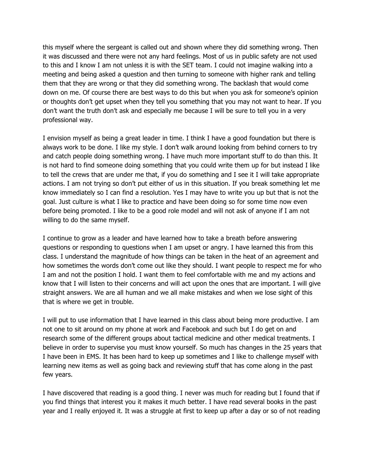this myself where the sergeant is called out and shown where they did something wrong. Then it was discussed and there were not any hard feelings. Most of us in public safety are not used to this and I know I am not unless it is with the SET team. I could not imagine walking into a meeting and being asked a question and then turning to someone with higher rank and telling them that they are wrong or that they did something wrong. The backlash that would come down on me. Of course there are best ways to do this but when you ask for someone's opinion or thoughts don't get upset when they tell you something that you may not want to hear. If you don't want the truth don't ask and especially me because I will be sure to tell you in a very professional way.

I envision myself as being a great leader in time. I think I have a good foundation but there is always work to be done. I like my style. I don't walk around looking from behind corners to try and catch people doing something wrong. I have much more important stuff to do than this. It is not hard to find someone doing something that you could write them up for but instead I like to tell the crews that are under me that, if you do something and I see it I will take appropriate actions. I am not trying so don't put either of us in this situation. If you break something let me know immediately so I can find a resolution. Yes I may have to write you up but that is not the goal. Just culture is what I like to practice and have been doing so for some time now even before being promoted. I like to be a good role model and will not ask of anyone if I am not willing to do the same myself.

I continue to grow as a leader and have learned how to take a breath before answering questions or responding to questions when I am upset or angry. I have learned this from this class. I understand the magnitude of how things can be taken in the heat of an agreement and how sometimes the words don't come out like they should. I want people to respect me for who I am and not the position I hold. I want them to feel comfortable with me and my actions and know that I will listen to their concerns and will act upon the ones that are important. I will give straight answers. We are all human and we all make mistakes and when we lose sight of this that is where we get in trouble.

I will put to use information that I have learned in this class about being more productive. I am not one to sit around on my phone at work and Facebook and such but I do get on and research some of the different groups about tactical medicine and other medical treatments. I believe in order to supervise you must know yourself. So much has changes in the 25 years that I have been in EMS. It has been hard to keep up sometimes and I like to challenge myself with learning new items as well as going back and reviewing stuff that has come along in the past few years.

I have discovered that reading is a good thing. I never was much for reading but I found that if you find things that interest you it makes it much better. I have read several books in the past year and I really enjoyed it. It was a struggle at first to keep up after a day or so of not reading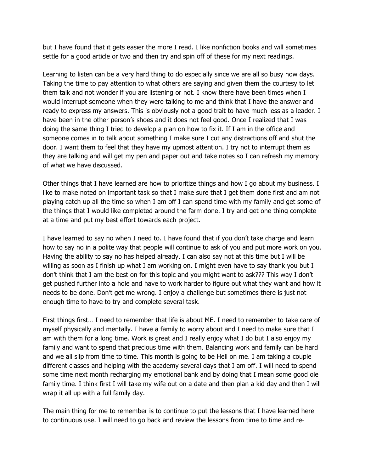but I have found that it gets easier the more I read. I like nonfiction books and will sometimes settle for a good article or two and then try and spin off of these for my next readings.

Learning to listen can be a very hard thing to do especially since we are all so busy now days. Taking the time to pay attention to what others are saying and given them the courtesy to let them talk and not wonder if you are listening or not. I know there have been times when I would interrupt someone when they were talking to me and think that I have the answer and ready to express my answers. This is obviously not a good trait to have much less as a leader. I have been in the other person's shoes and it does not feel good. Once I realized that I was doing the same thing I tried to develop a plan on how to fix it. If I am in the office and someone comes in to talk about something I make sure I cut any distractions off and shut the door. I want them to feel that they have my upmost attention. I try not to interrupt them as they are talking and will get my pen and paper out and take notes so I can refresh my memory of what we have discussed.

Other things that I have learned are how to prioritize things and how I go about my business. I like to make noted on important task so that I make sure that I get them done first and am not playing catch up all the time so when I am off I can spend time with my family and get some of the things that I would like completed around the farm done. I try and get one thing complete at a time and put my best effort towards each project.

I have learned to say no when I need to. I have found that if you don't take charge and learn how to say no in a polite way that people will continue to ask of you and put more work on you. Having the ability to say no has helped already. I can also say not at this time but I will be willing as soon as I finish up what I am working on. I might even have to say thank you but I don't think that I am the best on for this topic and you might want to ask??? This way I don't get pushed further into a hole and have to work harder to figure out what they want and how it needs to be done. Don't get me wrong. I enjoy a challenge but sometimes there is just not enough time to have to try and complete several task.

First things first… I need to remember that life is about ME. I need to remember to take care of myself physically and mentally. I have a family to worry about and I need to make sure that I am with them for a long time. Work is great and I really enjoy what I do but I also enjoy my family and want to spend that precious time with them. Balancing work and family can be hard and we all slip from time to time. This month is going to be Hell on me. I am taking a couple different classes and helping with the academy several days that I am off. I will need to spend some time next month recharging my emotional bank and by doing that I mean some good ole family time. I think first I will take my wife out on a date and then plan a kid day and then I will wrap it all up with a full family day.

The main thing for me to remember is to continue to put the lessons that I have learned here to continuous use. I will need to go back and review the lessons from time to time and re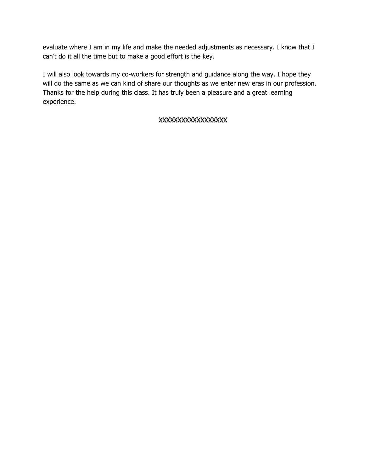evaluate where I am in my life and make the needed adjustments as necessary. I know that I can't do it all the time but to make a good effort is the key.

I will also look towards my co-workers for strength and guidance along the way. I hope they will do the same as we can kind of share our thoughts as we enter new eras in our profession. Thanks for the help during this class. It has truly been a pleasure and a great learning experience.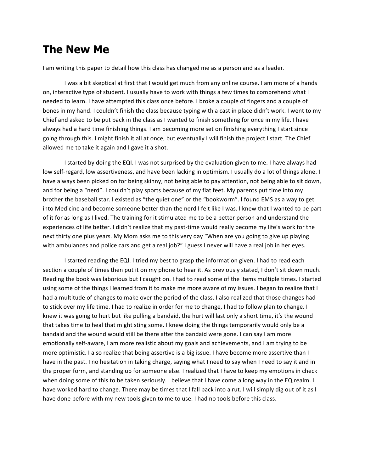# **The New Me**

I am writing this paper to detail how this class has changed me as a person and as a leader.

I was a bit skeptical at first that I would get much from any online course. I am more of a hands on, interactive type of student. I usually have to work with things a few times to comprehend what I needed to learn. I have attempted this class once before. I broke a couple of fingers and a couple of bones in my hand. I couldn't finish the class because typing with a cast in place didn't work. I went to my Chief and asked to be put back in the class as I wanted to finish something for once in my life. I have always had a hard time finishing things. I am becoming more set on finishing everything I start since going through this. I might finish it all at once, but eventually I will finish the project I start. The Chief allowed me to take it again and I gave it a shot.

I started by doing the EQI. I was not surprised by the evaluation given to me. I have always had low self-regard, low assertiveness, and have been lacking in optimism. I usually do a lot of things alone. I have always been picked on for being skinny, not being able to pay attention, not being able to sit down, and for being a "nerd". I couldn't play sports because of my flat feet. My parents put time into my brother the baseball star. I existed as "the quiet one" or the "bookworm". I found EMS as a way to get into Medicine and become someone better than the nerd I felt like I was. I knew that I wanted to be part of it for as long as I lived. The training for it stimulated me to be a better person and understand the experiences of life better. I didn't realize that my past-time would really become my life's work for the next thirty one plus years. My Mom asks me to this very day "When are you going to give up playing with ambulances and police cars and get a real job?" I guess I never will have a real job in her eyes.

I started reading the EQI. I tried my best to grasp the information given. I had to read each section a couple of times then put it on my phone to hear it. As previously stated, I don't sit down much. Reading the book was laborious but I caught on. I had to read some of the items multiple times. I started using some of the things I learned from it to make me more aware of my issues. I began to realize that I had a multitude of changes to make over the period of the class. I also realized that those changes had to stick over my life time. I had to realize in order for me to change, I had to follow plan to change. I knew it was going to hurt but like pulling a bandaid, the hurt will last only a short time, it's the wound that takes time to heal that might sting some. I knew doing the things temporarily would only be a bandaid and the wound would still be there after the bandaid were gone. I can say I am more emotionally self-aware, I am more realistic about my goals and achievements, and I am trying to be more optimistic. I also realize that being assertive is a big issue. I have become more assertive than I have in the past. I no hesitation in taking charge, saying what I need to say when I need to say it and in the proper form, and standing up for someone else. I realized that I have to keep my emotions in check when doing some of this to be taken seriously. I believe that I have come a long way in the EQ realm. I have worked hard to change. There may be times that I fall back into a rut. I will simply dig out of it as I have done before with my new tools given to me to use. I had no tools before this class.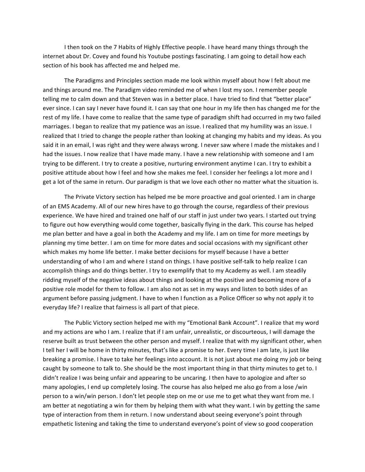I then took on the 7 Habits of Highly Effective people. I have heard many things through the internet about Dr. Covey and found his Youtube postings fascinating. I am going to detail how each section of his book has affected me and helped me.

The Paradigms and Principles section made me look within myself about how I felt about me and things around me. The Paradigm video reminded me of when I lost my son. I remember people telling me to calm down and that Steven was in a better place. I have tried to find that "better place" ever since. I can say I never have found it. I can say that one hour in my life then has changed me for the rest of my life. I have come to realize that the same type of paradigm shift had occurred in my two failed marriages. I began to realize that my patience was an issue. I realized that my humility was an issue. I realized that I tried to change the people rather than looking at changing my habits and my ideas. As you said it in an email, I was right and they were always wrong. I never saw where I made the mistakes and I had the issues. I now realize that I have made many. I have a new relationship with someone and I am trying to be different. I try to create a positive, nurturing environment anytime I can. I try to exhibit a positive attitude about how I feel and how she makes me feel. I consider her feelings a lot more and I get a lot of the same in return. Our paradigm is that we love each other no matter what the situation is.

The Private Victory section has helped me be more proactive and goal oriented. I am in charge of an EMS Academy. All of our new hires have to go through the course, regardless of their previous experience. We have hired and trained one half of our staff in just under two years. I started out trying to figure out how everything would come together, basically flying in the dark. This course has helped me plan better and have a goal in both the Academy and my life. I am on time for more meetings by planning my time better. I am on time for more dates and social occasions with my significant other which makes my home life better. I make better decisions for myself because I have a better understanding of who I am and where I stand on things. I have positive self-talk to help realize I can accomplish things and do things better. I try to exemplify that to my Academy as well. I am steadily ridding myself of the negative ideas about things and looking at the positive and becoming more of a positive role model for them to follow. I am also not as set in my ways and listen to both sides of an argument before passing judgment. I have to when I function as a Police Officer so why not apply it to everyday life? I realize that fairness is all part of that piece.

The Public Victory section helped me with my "Emotional Bank Account". I realize that my word and my actions are who I am. I realize that if I am unfair, unrealistic, or discourteous, I will damage the reserve built as trust between the other person and myself. I realize that with my significant other, when I tell her I will be home in thirty minutes, that's like a promise to her. Every time I am late, is just like breaking a promise. I have to take her feelings into account. It is not just about me doing my job or being caught by someone to talk to. She should be the most important thing in that thirty minutes to get to. I didn't realize I was being unfair and appearing to be uncaring. I then have to apologize and after so many apologies, I end up completely losing. The course has also helped me also go from a lose /win person to a win/win person. I don't let people step on me or use me to get what they want from me. I am better at negotiating a win for them by helping them with what they want. I win by getting the same type of interaction from them in return. I now understand about seeing everyone's point through empathetic listening and taking the time to understand everyone's point of view so good cooperation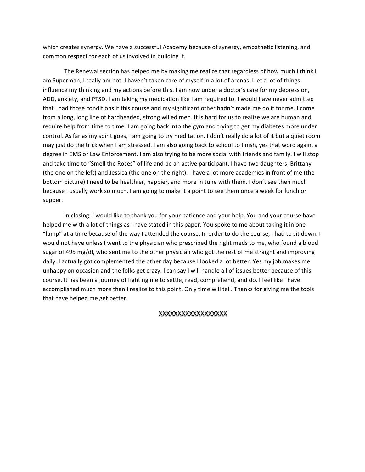which creates synergy. We have a successful Academy because of synergy, empathetic listening, and common respect for each of us involved in building it.

The Renewal section has helped me by making me realize that regardless of how much I think I am Superman, I really am not. I haven't taken care of myself in a lot of arenas. I let a lot of things influence my thinking and my actions before this. I am now under a doctor's care for my depression, ADD, anxiety, and PTSD. I am taking my medication like I am required to. I would have never admitted that I had those conditions if this course and my significant other hadn't made me do it for me. I come from a long, long line of hardheaded, strong willed men. It is hard for us to realize we are human and require help from time to time. I am going back into the gym and trying to get my diabetes more under control. As far as my spirit goes, I am going to try meditation. I don't really do a lot of it but a quiet room may just do the trick when I am stressed. I am also going back to school to finish, yes that word again, a degree in EMS or Law Enforcement. I am also trying to be more social with friends and family. I will stop and take time to "Smell the Roses" of life and be an active participant. I have two daughters, Brittany (the one on the left) and Jessica (the one on the right). I have a lot more academies in front of me (the bottom picture) I need to be healthier, happier, and more in tune with them. I don't see then much because I usually work so much. I am going to make it a point to see them once a week for lunch or supper. 

In closing, I would like to thank you for your patience and your help. You and your course have helped me with a lot of things as I have stated in this paper. You spoke to me about taking it in one "lump" at a time because of the way I attended the course. In order to do the course, I had to sit down. I would not have unless I went to the physician who prescribed the right meds to me, who found a blood sugar of 495 mg/dl, who sent me to the other physician who got the rest of me straight and improving daily. I actually got complemented the other day because I looked a lot better. Yes my job makes me unhappy on occasion and the folks get crazy. I can say I will handle all of issues better because of this course. It has been a journey of fighting me to settle, read, comprehend, and do. I feel like I have accomplished much more than I realize to this point. Only time will tell. Thanks for giving me the tools that have helped me get better.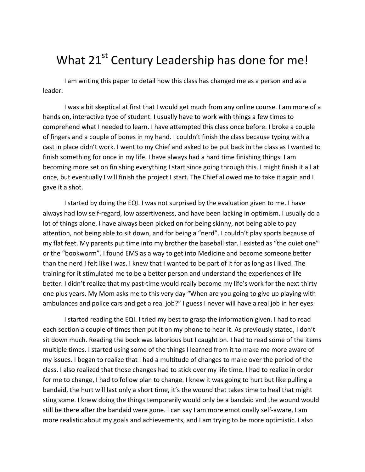# What  $21^{st}$  Century Leadership has done for me!

I am writing this paper to detail how this class has changed me as a person and as a leader. 

I was a bit skeptical at first that I would get much from any online course. I am more of a hands on, interactive type of student. I usually have to work with things a few times to comprehend what I needed to learn. I have attempted this class once before. I broke a couple of fingers and a couple of bones in my hand. I couldn't finish the class because typing with a cast in place didn't work. I went to my Chief and asked to be put back in the class as I wanted to finish something for once in my life. I have always had a hard time finishing things. I am becoming more set on finishing everything I start since going through this. I might finish it all at once, but eventually I will finish the project I start. The Chief allowed me to take it again and I gave it a shot.

I started by doing the EQI. I was not surprised by the evaluation given to me. I have always had low self-regard, low assertiveness, and have been lacking in optimism. I usually do a lot of things alone. I have always been picked on for being skinny, not being able to pay attention, not being able to sit down, and for being a "nerd". I couldn't play sports because of my flat feet. My parents put time into my brother the baseball star. I existed as "the quiet one" or the "bookworm". I found EMS as a way to get into Medicine and become someone better than the nerd I felt like I was. I knew that I wanted to be part of it for as long as I lived. The training for it stimulated me to be a better person and understand the experiences of life better. I didn't realize that my past-time would really become my life's work for the next thirty one plus years. My Mom asks me to this very day "When are you going to give up playing with ambulances and police cars and get a real job?" I guess I never will have a real job in her eyes.

I started reading the EQI. I tried my best to grasp the information given. I had to read each section a couple of times then put it on my phone to hear it. As previously stated, I don't sit down much. Reading the book was laborious but I caught on. I had to read some of the items multiple times. I started using some of the things I learned from it to make me more aware of my issues. I began to realize that I had a multitude of changes to make over the period of the class. I also realized that those changes had to stick over my life time. I had to realize in order for me to change, I had to follow plan to change. I knew it was going to hurt but like pulling a bandaid, the hurt will last only a short time, it's the wound that takes time to heal that might sting some. I knew doing the things temporarily would only be a bandaid and the wound would still be there after the bandaid were gone. I can say I am more emotionally self-aware, I am more realistic about my goals and achievements, and I am trying to be more optimistic. I also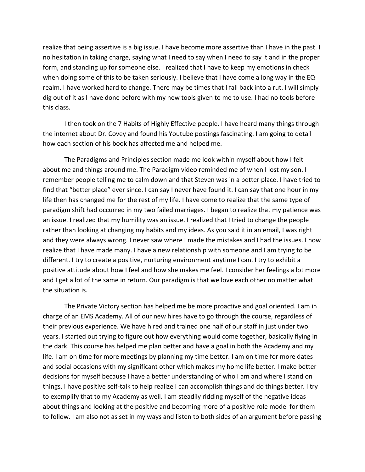realize that being assertive is a big issue. I have become more assertive than I have in the past. I no hesitation in taking charge, saying what I need to say when I need to say it and in the proper form, and standing up for someone else. I realized that I have to keep my emotions in check when doing some of this to be taken seriously. I believe that I have come a long way in the EQ realm. I have worked hard to change. There may be times that I fall back into a rut. I will simply dig out of it as I have done before with my new tools given to me to use. I had no tools before this class.

I then took on the 7 Habits of Highly Effective people. I have heard many things through the internet about Dr. Covey and found his Youtube postings fascinating. I am going to detail how each section of his book has affected me and helped me.

The Paradigms and Principles section made me look within myself about how I felt about me and things around me. The Paradigm video reminded me of when I lost my son. I remember people telling me to calm down and that Steven was in a better place. I have tried to find that "better place" ever since. I can say I never have found it. I can say that one hour in my life then has changed me for the rest of my life. I have come to realize that the same type of paradigm shift had occurred in my two failed marriages. I began to realize that my patience was an issue. I realized that my humility was an issue. I realized that I tried to change the people rather than looking at changing my habits and my ideas. As you said it in an email, I was right and they were always wrong. I never saw where I made the mistakes and I had the issues. I now realize that I have made many. I have a new relationship with someone and I am trying to be different. I try to create a positive, nurturing environment anytime I can. I try to exhibit a positive attitude about how I feel and how she makes me feel. I consider her feelings a lot more and I get a lot of the same in return. Our paradigm is that we love each other no matter what the situation is.

The Private Victory section has helped me be more proactive and goal oriented. I am in charge of an EMS Academy. All of our new hires have to go through the course, regardless of their previous experience. We have hired and trained one half of our staff in just under two years. I started out trying to figure out how everything would come together, basically flying in the dark. This course has helped me plan better and have a goal in both the Academy and my life. I am on time for more meetings by planning my time better. I am on time for more dates and social occasions with my significant other which makes my home life better. I make better decisions for myself because I have a better understanding of who I am and where I stand on things. I have positive self-talk to help realize I can accomplish things and do things better. I try to exemplify that to my Academy as well. I am steadily ridding myself of the negative ideas about things and looking at the positive and becoming more of a positive role model for them to follow. I am also not as set in my ways and listen to both sides of an argument before passing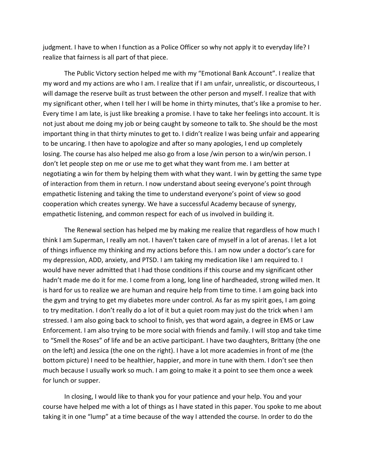judgment. I have to when I function as a Police Officer so why not apply it to everyday life? I realize that fairness is all part of that piece.

The Public Victory section helped me with my "Emotional Bank Account". I realize that my word and my actions are who I am. I realize that if I am unfair, unrealistic, or discourteous, I will damage the reserve built as trust between the other person and myself. I realize that with my significant other, when I tell her I will be home in thirty minutes, that's like a promise to her. Every time I am late, is just like breaking a promise. I have to take her feelings into account. It is not just about me doing my job or being caught by someone to talk to. She should be the most important thing in that thirty minutes to get to. I didn't realize I was being unfair and appearing to be uncaring. I then have to apologize and after so many apologies, I end up completely losing. The course has also helped me also go from a lose /win person to a win/win person. I don't let people step on me or use me to get what they want from me. I am better at negotiating a win for them by helping them with what they want. I win by getting the same type of interaction from them in return. I now understand about seeing everyone's point through empathetic listening and taking the time to understand everyone's point of view so good cooperation which creates synergy. We have a successful Academy because of synergy, empathetic listening, and common respect for each of us involved in building it.

The Renewal section has helped me by making me realize that regardless of how much I think I am Superman, I really am not. I haven't taken care of myself in a lot of arenas. I let a lot of things influence my thinking and my actions before this. I am now under a doctor's care for my depression, ADD, anxiety, and PTSD. I am taking my medication like I am required to. I would have never admitted that I had those conditions if this course and my significant other hadn't made me do it for me. I come from a long, long line of hardheaded, strong willed men. It is hard for us to realize we are human and require help from time to time. I am going back into the gym and trying to get my diabetes more under control. As far as my spirit goes, I am going to try meditation. I don't really do a lot of it but a quiet room may just do the trick when I am stressed. I am also going back to school to finish, yes that word again, a degree in EMS or Law Enforcement. I am also trying to be more social with friends and family. I will stop and take time to "Smell the Roses" of life and be an active participant. I have two daughters, Brittany (the one on the left) and Jessica (the one on the right). I have a lot more academies in front of me (the bottom picture) I need to be healthier, happier, and more in tune with them. I don't see then much because I usually work so much. I am going to make it a point to see them once a week for lunch or supper.

In closing, I would like to thank you for your patience and your help. You and your course have helped me with a lot of things as I have stated in this paper. You spoke to me about taking it in one "lump" at a time because of the way I attended the course. In order to do the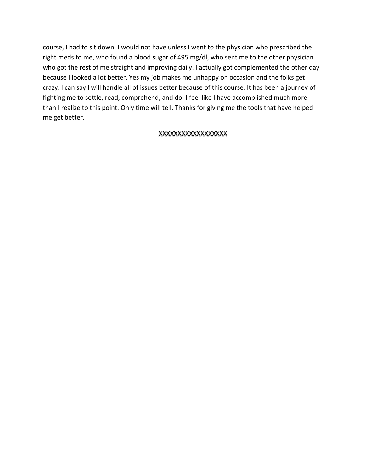course, I had to sit down. I would not have unless I went to the physician who prescribed the right meds to me, who found a blood sugar of 495 mg/dl, who sent me to the other physician who got the rest of me straight and improving daily. I actually got complemented the other day because I looked a lot better. Yes my job makes me unhappy on occasion and the folks get crazy. I can say I will handle all of issues better because of this course. It has been a journey of fighting me to settle, read, comprehend, and do. I feel like I have accomplished much more than I realize to this point. Only time will tell. Thanks for giving me the tools that have helped me get better.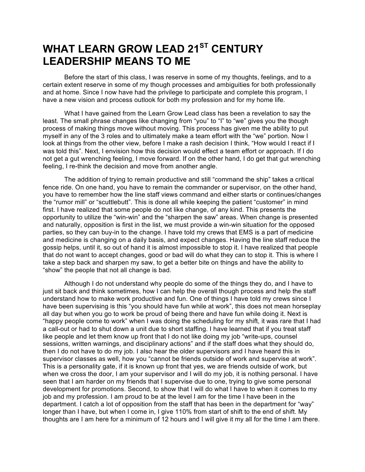# **WHAT LEARN GROW LEAD 21ST CENTURY LEADERSHIP MEANS TO ME**

Before the start of this class, I was reserve in some of my thoughts, feelings, and to a certain extent reserve in some of my though processes and ambiguities for both professionally and at home. Since I now have had the privilege to participate and complete this program, I have a new vision and process outlook for both my profession and for my home life.

What I have gained from the Learn Grow Lead class has been a revelation to say the least. The small phrase changes like changing from "you" to "I" to "we" gives you the though process of making things move without moving. This process has given me the ability to put myself in any of the 3 roles and to ultimately make a team effort with the "we" portion. Now I look at things from the other view, before I make a rash decision I think, "How would I react if I was told this". Next, I envision how this decision would effect a team effort or approach. If I do not get a gut wrenching feeling, I move forward. If on the other hand, I do get that gut wrenching feeling, I re-think the decision and move from another angle.

The addition of trying to remain productive and still "command the ship" takes a critical fence ride. On one hand, you have to remain the commander or supervisor, on the other hand, you have to remember how the line staff views command and either starts or continues/changes the "rumor mill" or "scuttlebutt". This is done all while keeping the patient "customer" in mind first. I have realized that some people do not like change, of any kind. This presents the opportunity to utilize the "win-win" and the "sharpen the saw" areas. When change is presented and naturally, opposition is first in the list, we must provide a win-win situation for the opposed parties, so they can buy-in to the change. I have told my crews that EMS is a part of medicine and medicine is changing on a daily basis, and expect changes. Having the line staff reduce the gossip helps, until it, so out of hand it is almost impossible to stop it. I have realized that people that do not want to accept changes, good or bad will do what they can to stop it. This is where I take a step back and sharpen my saw, to get a better bite on things and have the ability to "show" the people that not all change is bad.

Although I do not understand why people do some of the things they do, and I have to just sit back and think sometimes, how I can help the overall though process and help the staff understand how to make work productive and fun. One of things I have told my crews since I have been supervising is this "you should have fun while at work", this does not mean horseplay all day but when you go to work be proud of being there and have fun while doing it. Next is "happy people come to work" when I was doing the scheduling for my shift, it was rare that I had a call-out or had to shut down a unit due to short staffing. I have learned that if you treat staff like people and let them know up front that I do not like doing my job "write-ups, counsel sessions, written warnings, and disciplinary actions" and if the staff does what they should do, then I do not have to do my job. I also hear the older supervisors and I have heard this in supervisor classes as well, how you "cannot be friends outside of work and supervise at work". This is a personality gate, if it is known up front that yes, we are friends outside of work, but when we cross the door, I am your supervisor and I will do my job, it is nothing personal. I have seen that I am harder on my friends that I supervise due to one, trying to give some personal development for promotions. Second, to show that I will do what I have to when it comes to my job and my profession. I am proud to be at the level I am for the time I have been in the department. I catch a lot of opposition from the staff that has been in the department for "way" longer than I have, but when I come in, I give 110% from start of shift to the end of shift. My thoughts are I am here for a minimum of 12 hours and I will give it my all for the time I am there.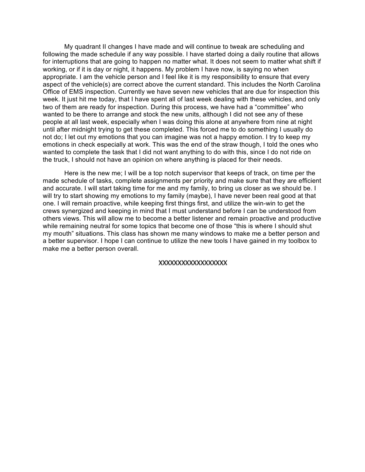My quadrant II changes I have made and will continue to tweak are scheduling and following the made schedule if any way possible. I have started doing a daily routine that allows for interruptions that are going to happen no matter what. It does not seem to matter what shift if working, or if it is day or night, it happens. My problem I have now, is saying no when appropriate. I am the vehicle person and I feel like it is my responsibility to ensure that every aspect of the vehicle(s) are correct above the current standard. This includes the North Carolina Office of EMS inspection. Currently we have seven new vehicles that are due for inspection this week. It just hit me today, that I have spent all of last week dealing with these vehicles, and only two of them are ready for inspection. During this process, we have had a "committee" who wanted to be there to arrange and stock the new units, although I did not see any of these people at all last week, especially when I was doing this alone at anywhere from nine at night until after midnight trying to get these completed. This forced me to do something I usually do not do; I let out my emotions that you can imagine was not a happy emotion. I try to keep my emotions in check especially at work. This was the end of the straw though, I told the ones who wanted to complete the task that I did not want anything to do with this, since I do not ride on the truck, I should not have an opinion on where anything is placed for their needs.

Here is the new me; I will be a top notch supervisor that keeps of track, on time per the made schedule of tasks, complete assignments per priority and make sure that they are efficient and accurate. I will start taking time for me and my family, to bring us closer as we should be. I will try to start showing my emotions to my family (maybe), I have never been real good at that one. I will remain proactive, while keeping first things first, and utilize the win-win to get the crews synergized and keeping in mind that I must understand before I can be understood from others views. This will allow me to become a better listener and remain proactive and productive while remaining neutral for some topics that become one of those "this is where I should shut my mouth" situations. This class has shown me many windows to make me a better person and a better supervisor. I hope I can continue to utilize the new tools I have gained in my toolbox to make me a better person overall.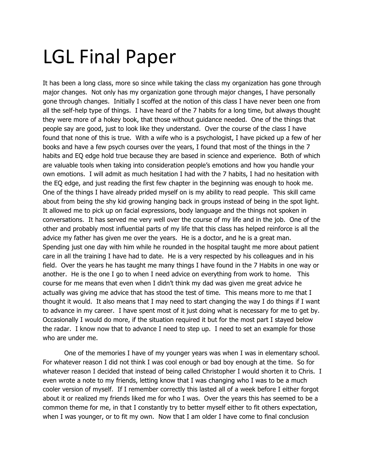# LGL Final Paper

It has been a long class, more so since while taking the class my organization has gone through major changes. Not only has my organization gone through major changes, I have personally gone through changes. Initially I scoffed at the notion of this class I have never been one from all the self-help type of things. I have heard of the 7 habits for a long time, but always thought they were more of a hokey book, that those without guidance needed. One of the things that people say are good, just to look like they understand. Over the course of the class I have found that none of this is true. With a wife who is a psychologist, I have picked up a few of her books and have a few psych courses over the years, I found that most of the things in the 7 habits and EQ edge hold true because they are based in science and experience. Both of which are valuable tools when taking into consideration people's emotions and how you handle your own emotions. I will admit as much hesitation I had with the 7 habits, I had no hesitation with the EQ edge, and just reading the first few chapter in the beginning was enough to hook me. One of the things I have already prided myself on is my ability to read people. This skill came about from being the shy kid growing hanging back in groups instead of being in the spot light. It allowed me to pick up on facial expressions, body language and the things not spoken in conversations. It has served me very well over the course of my life and in the job. One of the other and probably most influential parts of my life that this class has helped reinforce is all the advice my father has given me over the years. He is a doctor, and he is a great man. Spending just one day with him while he rounded in the hospital taught me more about patient care in all the training I have had to date. He is a very respected by his colleagues and in his field. Over the years he has taught me many things I have found in the 7 Habits in one way or another. He is the one I go to when I need advice on everything from work to home. This course for me means that even when I didn't think my dad was given me great advice he actually was giving me advice that has stood the test of time. This means more to me that I thought it would. It also means that I may need to start changing the way I do things if I want to advance in my career. I have spent most of it just doing what is necessary for me to get by. Occasionally I would do more, if the situation required it but for the most part I stayed below the radar. I know now that to advance I need to step up. I need to set an example for those who are under me.

One of the memories I have of my younger years was when I was in elementary school. For whatever reason I did not think I was cool enough or bad boy enough at the time. So for whatever reason I decided that instead of being called Christopher I would shorten it to Chris. I even wrote a note to my friends, letting know that I was changing who I was to be a much cooler version of myself. If I remember correctly this lasted all of a week before I either forgot about it or realized my friends liked me for who I was. Over the years this has seemed to be a common theme for me, in that I constantly try to better myself either to fit others expectation, when I was younger, or to fit my own. Now that I am older I have come to final conclusion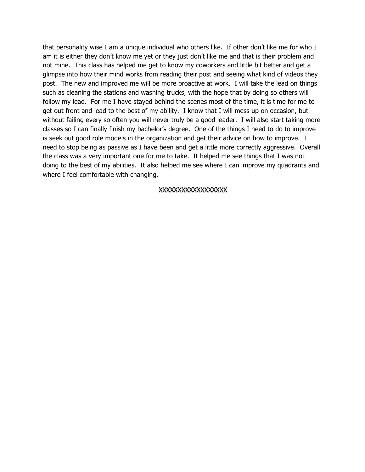that personality wise I am a unique individual who others like. If other don't like me for who I am it is either they don't know me yet or they just don't like me and that is their problem and not mine. This class has helped me get to know my coworkers and little bit better and get a glimpse into how their mind works from reading their post and seeing what kind of videos they post. The new and improved me will be more proactive at work. I will take the lead on things such as cleaning the stations and washing trucks, with the hope that by doing so others will follow my lead. For me I have stayed behind the scenes most of the time, it is time for me to get out front and lead to the best of my ability. I know that I will mess up on occasion, but without failing every so often you will never truly be a good leader. I will also start taking more classes so I can finally finish my bachelor's degree. One of the things I need to do to improve is seek out good role models in the organization and get their advice on how to improve. I need to stop being as passive as I have been and get a little more correctly aggressive. Overall the class was a very important one for me to take. It helped me see things that I was not doing to the best of my abilities. It also helped me see where I can improve my quadrants and where I feel comfortable with changing.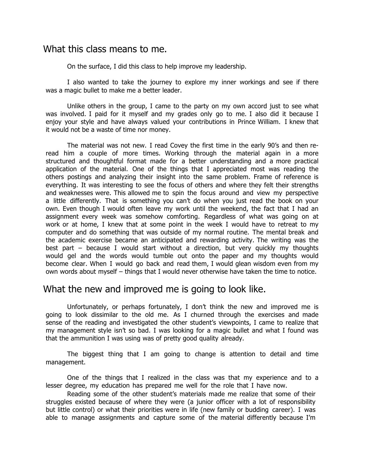## What this class means to me.

On the surface, I did this class to help improve my leadership.

I also wanted to take the journey to explore my inner workings and see if there was a magic bullet to make me a better leader.

Unlike others in the group, I came to the party on my own accord just to see what was involved. I paid for it myself and my grades only go to me. I also did it because I enjoy your style and have always valued your contributions in Prince William. I knew that it would not be a waste of time nor money.

The material was not new. I read Covey the first time in the early 90's and then reread him a couple of more times. Working through the material again in a more structured and thoughtful format made for a better understanding and a more practical application of the material. One of the things that I appreciated most was reading the others postings and analyzing their insight into the same problem. Frame of reference is everything. It was interesting to see the focus of others and where they felt their strengths and weaknesses were. This allowed me to spin the focus around and view my perspective a little differently. That is something you can't do when you just read the book on your own. Even though I would often leave my work until the weekend, the fact that I had an assignment every week was somehow comforting. Regardless of what was going on at work or at home, I knew that at some point in the week I would have to retreat to my computer and do something that was outside of my normal routine. The mental break and the academic exercise became an anticipated and rewarding activity. The writing was the best part – because I would start without a direction, but very quickly my thoughts would gel and the words would tumble out onto the paper and my thoughts would become clear. When I would go back and read them, I would glean wisdom even from my own words about myself – things that I would never otherwise have taken the time to notice.

# What the new and improved me is going to look like.

Unfortunately, or perhaps fortunately, I don't think the new and improved me is going to look dissimilar to the old me. As I churned through the exercises and made sense of the reading and investigated the other student's viewpoints, I came to realize that my management style isn't so bad. I was looking for a magic bullet and what I found was that the ammunition I was using was of pretty good quality already.

The biggest thing that I am going to change is attention to detail and time management.

One of the things that I realized in the class was that my experience and to a lesser degree, my education has prepared me well for the role that I have now.

Reading some of the other student's materials made me realize that some of their struggles existed because of where they were (a junior officer with a lot of responsibility but little control) or what their priorities were in life (new family or budding career). I was able to manage assignments and capture some of the material differently because I'm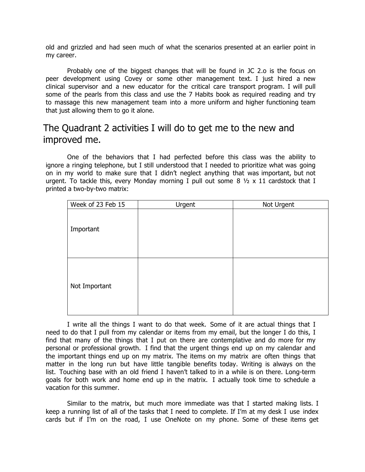old and grizzled and had seen much of what the scenarios presented at an earlier point in my career.

Probably one of the biggest changes that will be found in JC 2.o is the focus on peer development using Covey or some other management text. I just hired a new clinical supervisor and a new educator for the critical care transport program. I will pull some of the pearls from this class and use the 7 Habits book as required reading and try to massage this new management team into a more uniform and higher functioning team that just allowing them to go it alone.

# The Quadrant 2 activities I will do to get me to the new and improved me.

One of the behaviors that I had perfected before this class was the ability to ignore a ringing telephone, but I still understood that I needed to prioritize what was going on in my world to make sure that I didn't neglect anything that was important, but not urgent. To tackle this, every Monday morning I pull out some  $8 \frac{1}{2} \times 11$  cardstock that I printed a two-by-two matrix:

| Week of 23 Feb 15 | Urgent | Not Urgent |
|-------------------|--------|------------|
| Important         |        |            |
| Not Important     |        |            |

I write all the things I want to do that week. Some of it are actual things that I need to do that I pull from my calendar or items from my email, but the longer I do this, I find that many of the things that I put on there are contemplative and do more for my personal or professional growth. I find that the urgent things end up on my calendar and the important things end up on my matrix. The items on my matrix are often things that matter in the long run but have little tangible benefits today. Writing is always on the list. Touching base with an old friend I haven't talked to in a while is on there. Long-term goals for both work and home end up in the matrix. I actually took time to schedule a vacation for this summer.

Similar to the matrix, but much more immediate was that I started making lists. I keep a running list of all of the tasks that I need to complete. If I'm at my desk I use index cards but if I'm on the road, I use OneNote on my phone. Some of these items get